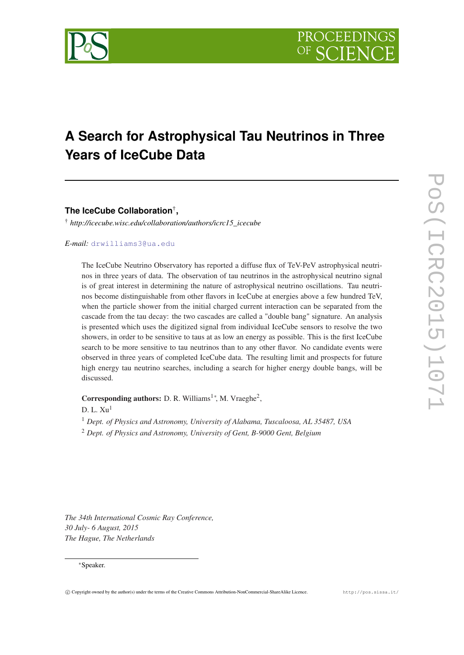

# **A Search for Astrophysical Tau Neutrinos in Three Years of IceCube Data**

**The IceCube Collaboration**† **,**

† *http://icecube.wisc.edu/collaboration/authors/icrc15\_icecube*

# *E-mail:* [drwilliams3@ua.edu](mailto:drwilliams3@ua.edu)

The IceCube Neutrino Observatory has reported a diffuse flux of TeV-PeV astrophysical neutrinos in three years of data. The observation of tau neutrinos in the astrophysical neutrino signal is of great interest in determining the nature of astrophysical neutrino oscillations. Tau neutrinos become distinguishable from other flavors in IceCube at energies above a few hundred TeV, when the particle shower from the initial charged current interaction can be separated from the cascade from the tau decay: the two cascades are called a "double bang" signature. An analysis is presented which uses the digitized signal from individual IceCube sensors to resolve the two showers, in order to be sensitive to taus at as low an energy as possible. This is the first IceCube search to be more sensitive to tau neutrinos than to any other flavor. No candidate events were observed in three years of completed IceCube data. The resulting limit and prospects for future high energy tau neutrino searches, including a search for higher energy double bangs, will be discussed.

Corresponding authors: D. R. Williams<sup>1</sup><sup>\*</sup>, M. Vraeghe<sup>2</sup>,

D. L.  $Xu<sup>1</sup>$ 

<sup>1</sup> *Dept. of Physics and Astronomy, University of Alabama, Tuscaloosa, AL 35487, USA*

<sup>2</sup> *Dept. of Physics and Astronomy, University of Gent, B-9000 Gent, Belgium*

*The 34th International Cosmic Ray Conference, 30 July- 6 August, 2015 The Hague, The Netherlands*

#### <sup>∗</sup>Speaker.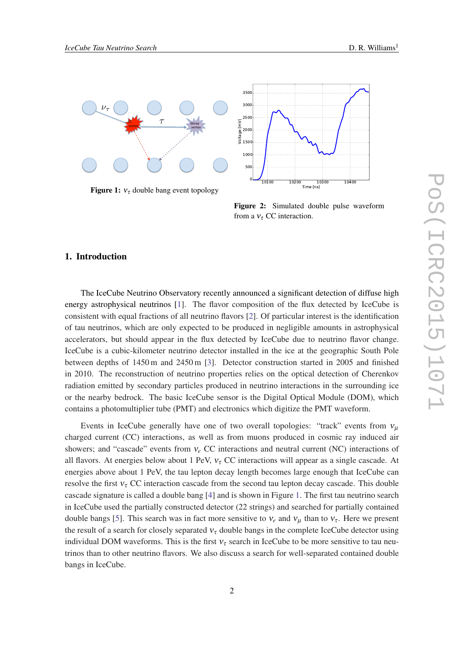<span id="page-1-0"></span>

Figure 1:  $v_{\tau}$  double bang event topology



Figure 2: Simulated double pulse waveform from a  $v_\tau$  CC interaction.

# 1. Introduction

The IceCube Neutrino Observatory recently announced a significant detection of diffuse high energy astrophysical neutrinos [\[1\]](#page-6-0). The flavor composition of the flux detected by IceCube is consistent with equal fractions of all neutrino flavors [\[2\]](#page-6-0). Of particular interest is the identification of tau neutrinos, which are only expected to be produced in negligible amounts in astrophysical accelerators, but should appear in the flux detected by IceCube due to neutrino flavor change. IceCube is a cubic-kilometer neutrino detector installed in the ice at the geographic South Pole between depths of 1450 m and 2450 m [\[3](#page-6-0)]. Detector construction started in 2005 and finished in 2010. The reconstruction of neutrino properties relies on the optical detection of Cherenkov radiation emitted by secondary particles produced in neutrino interactions in the surrounding ice or the nearby bedrock. The basic IceCube sensor is the Digital Optical Module (DOM), which contains a photomultiplier tube (PMT) and electronics which digitize the PMT waveform.

Events in IceCube generally have one of two overall topologies: "track" events from  $v_\mu$ charged current (CC) interactions, as well as from muons produced in cosmic ray induced air showers; and "cascade" events from ν*<sup>e</sup>* CC interactions and neutral current (NC) interactions of all flavors. At energies below about 1 PeV,  $v<sub>\tau</sub>$  CC interactions will appear as a single cascade. At energies above about 1 PeV, the tau lepton decay length becomes large enough that IceCube can resolve the first  $v<sub>\tau</sub>$  CC interaction cascade from the second tau lepton decay cascade. This double cascade signature is called a double bang [\[4\]](#page-6-0) and is shown in Figure 1. The first tau neutrino search in IceCube used the partially constructed detector (22 strings) and searched for partially contained double bangs [[5](#page-6-0)]. This search was in fact more sensitive to  $v_e$  and  $v_u$  than to  $v_\tau$ . Here we present the result of a search for closely separated  $v<sub>\tau</sub>$  double bangs in the complete IceCube detector using individual DOM waveforms. This is the first  $v<sub>\tau</sub>$  search in IceCube to be more sensitive to tau neutrinos than to other neutrino flavors. We also discuss a search for well-separated contained double bangs in IceCube.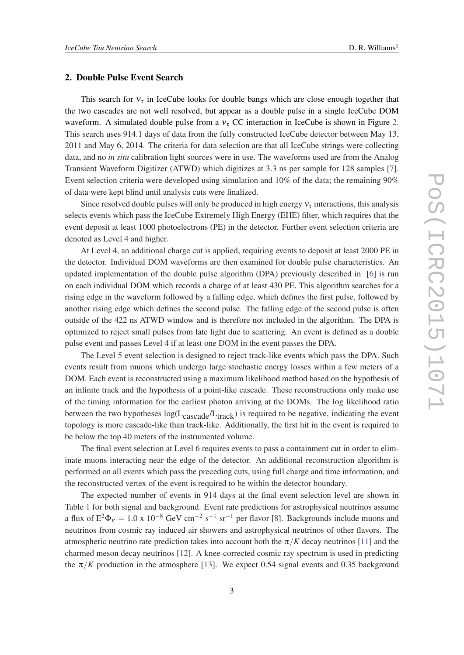## 2. Double Pulse Event Search

This search for  $v<sub>\tau</sub>$  in IceCube looks for double bangs which are close enough together that the two cascades are not well resolved, but appear as a double pulse in a single IceCube DOM waveform. A simulated double pulse from a  $v<sub>\tau</sub>$  CC interaction in IceCube is shown in Figure [2](#page-1-0). This search uses 914.1 days of data from the fully constructed IceCube detector between May 13, 2011 and May 6, 2014. The criteria for data selection are that all IceCube strings were collecting data, and no *in situ* calibration light sources were in use. The waveforms used are from the Analog Transient Waveform Digitizer (ATWD) which digitizes at 3.3 ns per sample for 128 samples [\[7\]](#page-6-0). Event selection criteria were developed using simulation and 10% of the data; the remaining 90% of data were kept blind until analysis cuts were finalized.

Since resolved double pulses will only be produced in high energy  $v<sub>\tau</sub>$  interactions, this analysis selects events which pass the IceCube Extremely High Energy (EHE) filter, which requires that the event deposit at least 1000 photoelectrons (PE) in the detector. Further event selection criteria are denoted as Level 4 and higher.

At Level 4, an additional charge cut is applied, requiring events to deposit at least 2000 PE in the detector. Individual DOM waveforms are then examined for double pulse characteristics. An updated implementation of the double pulse algorithm (DPA) previously described in [[6](#page-6-0)] is run on each individual DOM which records a charge of at least 430 PE. This algorithm searches for a rising edge in the waveform followed by a falling edge, which defines the first pulse, followed by another rising edge which defines the second pulse. The falling edge of the second pulse is often outside of the 422 ns ATWD window and is therefore not included in the algorithm. The DPA is optimized to reject small pulses from late light due to scattering. An event is defined as a double pulse event and passes Level 4 if at least one DOM in the event passes the DPA.

The Level 5 event selection is designed to reject track-like events which pass the DPA. Such events result from muons which undergo large stochastic energy losses within a few meters of a DOM. Each event is reconstructed using a maximum likelihood method based on the hypothesis of an infinite track and the hypothesis of a point-like cascade. These reconstructions only make use of the timing information for the earliest photon arriving at the DOMs. The log likelihood ratio between the two hypotheses  $log(L_{\text{cascade}}/L_{\text{track}})$  is required to be negative, indicating the event topology is more cascade-like than track-like. Additionally, the first hit in the event is required to be below the top 40 meters of the instrumented volume.

The final event selection at Level 6 requires events to pass a containment cut in order to eliminate muons interacting near the edge of the detector. An additional reconstruction algorithm is performed on all events which pass the preceding cuts, using full charge and time information, and the reconstructed vertex of the event is required to be within the detector boundary.

The expected number of events in 914 days at the final event selection level are shown in Table [1](#page-3-0) for both signal and background. Event rate predictions for astrophysical neutrinos assume a flux of  $E^2\Phi_v = 1.0 \times 10^{-8}$  $E^2\Phi_v = 1.0 \times 10^{-8}$  $E^2\Phi_v = 1.0 \times 10^{-8}$  GeV cm<sup>-2</sup> s<sup>-1</sup> sr<sup>-1</sup> per flavor [8]. Backgrounds include muons and neutrinos from cosmic ray induced air showers and astrophysical neutrinos of other flavors. The atmospheric neutrino rate prediction takes into account both the  $\pi/K$  decay neutrinos [[11\]](#page-6-0) and the charmed meson decay neutrinos [\[12](#page-6-0)]. A knee-corrected cosmic ray spectrum is used in predicting the  $\pi/K$  production in the atmosphere [[13\]](#page-7-0). We expect 0.54 signal events and 0.35 background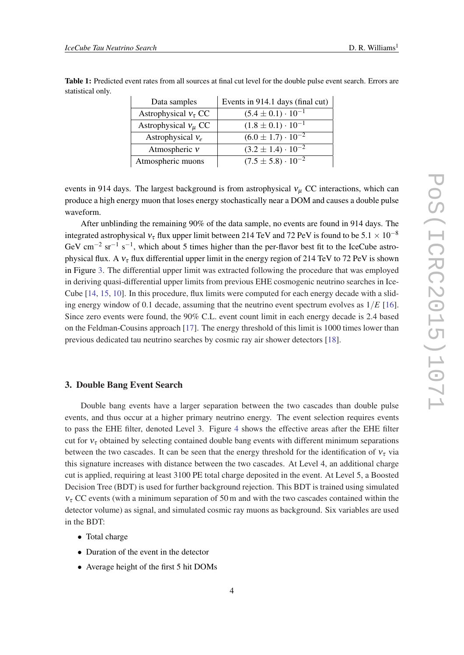| Data samples              | Events in 914.1 days (final cut) |
|---------------------------|----------------------------------|
| Astrophysical $v_\tau$ CC | $(5.4 \pm 0.1) \cdot 10^{-1}$    |
| Astrophysical $v_\mu$ CC  | $(1.8 \pm 0.1) \cdot 10^{-1}$    |
| Astrophysical $v_e$       | $(6.0 \pm 1.7) \cdot 10^{-2}$    |
| Atmospheric $v$           | $(3.2 \pm 1.4) \cdot 10^{-2}$    |
| Atmospheric muons         | $(7.5 \pm 5.8) \cdot 10^{-2}$    |

<span id="page-3-0"></span>Table 1: Predicted event rates from all sources at final cut level for the double pulse event search. Errors are statistical only.

events in 914 days. The largest background is from astrophysical  $v_\mu$  CC interactions, which can produce a high energy muon that loses energy stochastically near a DOM and causes a double pulse waveform.

After unblinding the remaining 90% of the data sample, no events are found in 914 days. The integrated astrophysical  $v_\tau$  flux upper limit between 214 TeV and 72 PeV is found to be 5.1  $\times$  10<sup>-8</sup> GeV cm<sup>-2</sup> sr<sup>-1</sup> s<sup>-1</sup>, which about 5 times higher than the per-flavor best fit to the IceCube astrophysical flux. A  $v<sub>\tau</sub>$  flux differential upper limit in the energy region of 214 TeV to 72 PeV is shown in Figure [3](#page-4-0). The differential upper limit was extracted following the procedure that was employed in deriving quasi-differential upper limits from previous EHE cosmogenic neutrino searches in Ice-Cube [[14](#page-7-0), [15,](#page-7-0) [10\]](#page-6-0). In this procedure, flux limits were computed for each energy decade with a sliding energy window of 0.1 decade, assuming that the neutrino event spectrum evolves as  $1/E$  [[16\]](#page-7-0). Since zero events were found, the 90% C.L. event count limit in each energy decade is 2.4 based on the Feldman-Cousins approach [\[17\]](#page-7-0). The energy threshold of this limit is 1000 times lower than previous dedicated tau neutrino searches by cosmic ray air shower detectors [[18](#page-7-0)].

#### 3. Double Bang Event Search

Double bang events have a larger separation between the two cascades than double pulse events, and thus occur at a higher primary neutrino energy. The event selection requires events to pass the EHE filter, denoted Level 3. Figure [4](#page-5-0) shows the effective areas after the EHE filter cut for  $v_{\tau}$  obtained by selecting contained double bang events with different minimum separations between the two cascades. It can be seen that the energy threshold for the identification of  $v_\tau$  via this signature increases with distance between the two cascades. At Level 4, an additional charge cut is applied, requiring at least 3100 PE total charge deposited in the event. At Level 5, a Boosted Decision Tree (BDT) is used for further background rejection. This BDT is trained using simulated  $v_{\tau}$  CC events (with a minimum separation of 50 m and with the two cascades contained within the detector volume) as signal, and simulated cosmic ray muons as background. Six variables are used in the BDT:

- Total charge
- Duration of the event in the detector
- Average height of the first 5 hit DOMs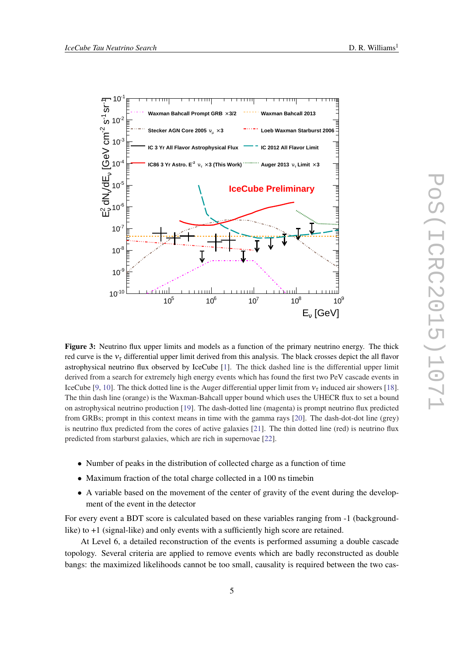<span id="page-4-0"></span>

Figure 3: Neutrino flux upper limits and models as a function of the primary neutrino energy. The thick red curve is the  $v<sub>\tau</sub>$  differential upper limit derived from this analysis. The black crosses depict the all flavor astrophysical neutrino flux observed by IceCube [[1\]](#page-6-0). The thick dashed line is the differential upper limit derived from a search for extremely high energy events which has found the first two PeV cascade events in IceCube [\[9](#page-6-0), [10\]](#page-6-0). The thick dotted line is the Auger differential upper limit from  $v<sub>\tau</sub>$  induced air showers [\[18](#page-7-0)]. The thin dash line (orange) is the Waxman-Bahcall upper bound which uses the UHECR flux to set a bound on astrophysical neutrino production [\[19](#page-7-0)]. The dash-dotted line (magenta) is prompt neutrino flux predicted from GRBs; prompt in this context means in time with the gamma rays [\[20](#page-7-0)]. The dash-dot-dot line (grey) is neutrino flux predicted from the cores of active galaxies [\[21](#page-7-0)]. The thin dotted line (red) is neutrino flux predicted from starburst galaxies, which are rich in supernovae [\[22](#page-7-0)].

- Number of peaks in the distribution of collected charge as a function of time
- Maximum fraction of the total charge collected in a 100 ns timebin
- A variable based on the movement of the center of gravity of the event during the development of the event in the detector

For every event a BDT score is calculated based on these variables ranging from -1 (backgroundlike) to +1 (signal-like) and only events with a sufficiently high score are retained.

At Level 6, a detailed reconstruction of the events is performed assuming a double cascade topology. Several criteria are applied to remove events which are badly reconstructed as double bangs: the maximized likelihoods cannot be too small, causality is required between the two cas-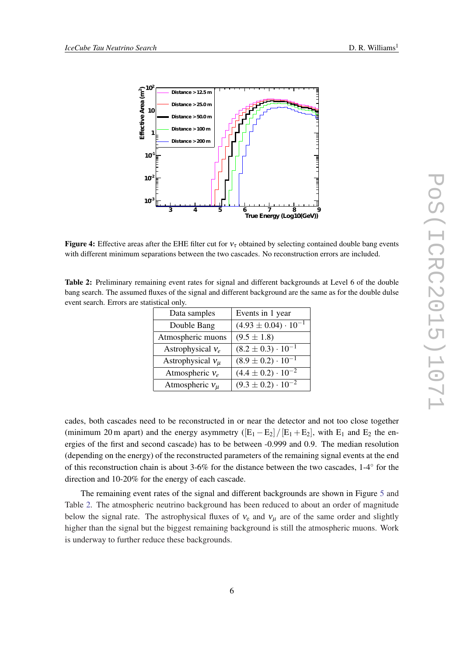<span id="page-5-0"></span>

**Figure 4:** Effective areas after the EHE filter cut for  $v<sub>\tau</sub>$  obtained by selecting contained double bang events with different minimum separations between the two cascades. No reconstruction errors are included.

Table 2: Preliminary remaining event rates for signal and different backgrounds at Level 6 of the double bang search. The assumed fluxes of the signal and different background are the same as for the double dulse event search. Errors are statistical only.

| Data samples          | Events in 1 year                |
|-----------------------|---------------------------------|
| Double Bang           | $(4.93 \pm 0.04) \cdot 10^{-1}$ |
| Atmospheric muons     | $(9.5 \pm 1.8)$                 |
| Astrophysical $v_e$   | $(8.2 \pm 0.3) \cdot 10^{-1}$   |
| Astrophysical $v_\mu$ | $(8.9 \pm 0.2) \cdot 10^{-1}$   |
| Atmospheric $v_e$     | $(4.4 \pm 0.2) \cdot 10^{-2}$   |
| Atmospheric $v_\mu$   | $(9.3 \pm 0.2) \cdot 10^{-2}$   |

cades, both cascades need to be reconstructed in or near the detector and not too close together (minimum 20 m apart) and the energy asymmetry  $([E_1 - E_2]/[E_1 + E_2]$ , with  $E_1$  and  $E_2$  the energies of the first and second cascade) has to be between -0.999 and 0.9. The median resolution (depending on the energy) of the reconstructed parameters of the remaining signal events at the end of this reconstruction chain is about 3-6% for the distance between the two cascades, 1-4◦ for the direction and 10-20% for the energy of each cascade.

The remaining event rates of the signal and different backgrounds are shown in Figure [5](#page-6-0) and Table 2. The atmospheric neutrino background has been reduced to about an order of magnitude below the signal rate. The astrophysical fluxes of  $v_e$  and  $v_u$  are of the same order and slightly higher than the signal but the biggest remaining background is still the atmospheric muons. Work is underway to further reduce these backgrounds.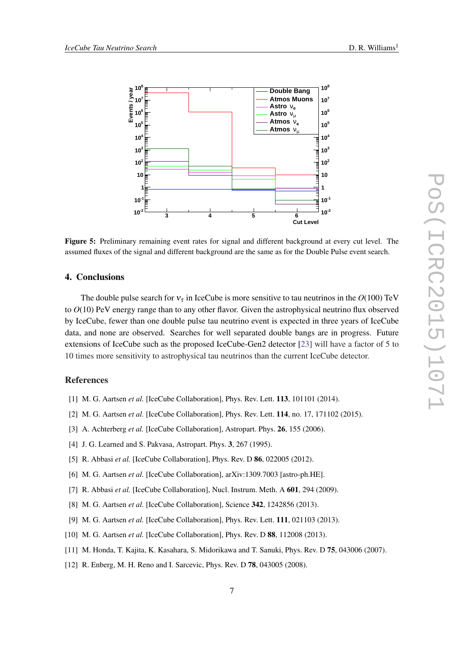<span id="page-6-0"></span>

Figure 5: Preliminary remaining event rates for signal and different background at every cut level. The assumed fluxes of the signal and different background are the same as for the Double Pulse event search.

## 4. Conclusions

The double pulse search for  $v<sub>\tau</sub>$  in IceCube is more sensitive to tau neutrinos in the  $O(100)$  TeV to *O*(10) PeV energy range than to any other flavor. Given the astrophysical neutrino flux observed by IceCube, fewer than one double pulse tau neutrino event is expected in three years of IceCube data, and none are observed. Searches for well separated double bangs are in progress. Future extensions of IceCube such as the proposed IceCube-Gen2 detector [\[23](#page-7-0)] will have a factor of 5 to 10 times more sensitivity to astrophysical tau neutrinos than the current IceCube detector.

### References

- [1] M. G. Aartsen *et al.* [IceCube Collaboration], Phys. Rev. Lett. 113, 101101 (2014).
- [2] M. G. Aartsen *et al.* [IceCube Collaboration], Phys. Rev. Lett. **114**, no. 17, 171102 (2015).
- [3] A. Achterberg *et al.* [IceCube Collaboration], Astropart. Phys. **26**, 155 (2006).
- [4] J. G. Learned and S. Pakvasa, Astropart. Phys. 3, 267 (1995).
- [5] R. Abbasi *et al.* [IceCube Collaboration], Phys. Rev. D **86**, 022005 (2012).
- [6] M. G. Aartsen *et al.* [IceCube Collaboration], arXiv:1309.7003 [astro-ph.HE].
- [7] R. Abbasi *et al.* [IceCube Collaboration], Nucl. Instrum. Meth. A **601**, 294 (2009).
- [8] M. G. Aartsen *et al.* [IceCube Collaboration], Science 342, 1242856 (2013).
- [9] M. G. Aartsen *et al.* [IceCube Collaboration], Phys. Rev. Lett. 111, 021103 (2013).
- [10] M. G. Aartsen *et al.* [IceCube Collaboration], Phys. Rev. D 88, 112008 (2013).
- [11] M. Honda, T. Kajita, K. Kasahara, S. Midorikawa and T. Sanuki, Phys. Rev. D 75, 043006 (2007).
- [12] R. Enberg, M. H. Reno and I. Sarcevic, Phys. Rev. D **78**, 043005 (2008).